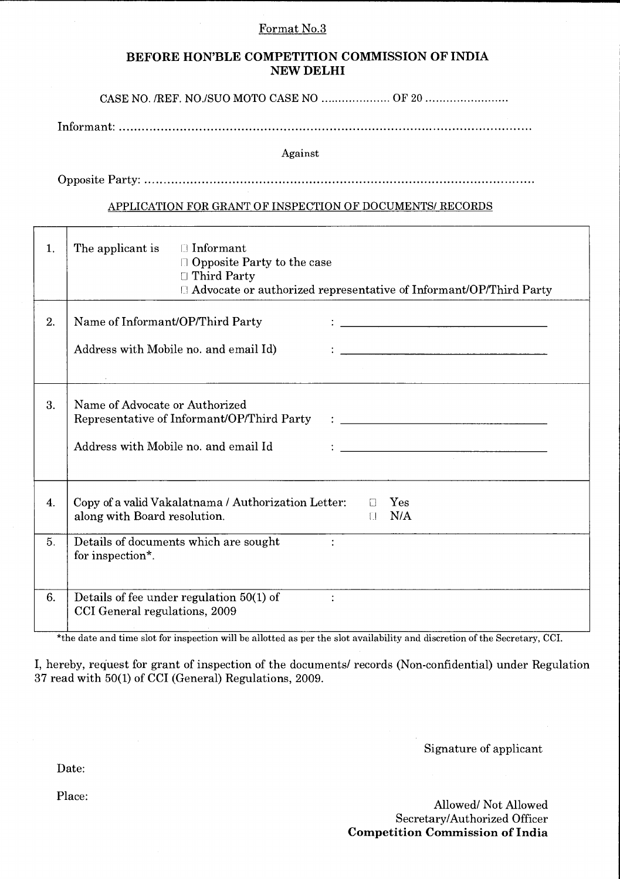### Format No.3

## **BEFORE HON'BLE COMPETITION COMMISSION OF INDIA NEW DELHI**

CASE NO. /REF. NO./SUO MOTO CASE NO ..................... OF 20 ........................

Informant. ............................................................................................................

Against

OppositeParty ......................................................................................................

#### APPLICATION FOR GRANT OF INSPECTION OF DOCUMENTS/ RECORDS

| 1.       | $\Box$ Informant<br>The applicant is<br><b>Opposite Party to the case</b><br>$\Box$ Third Party                              | $\Box$ Advocate or authorized representative of Informant/OP/Third Party |
|----------|------------------------------------------------------------------------------------------------------------------------------|--------------------------------------------------------------------------|
| 2.       | Name of Informant/OP/Third Party<br>Address with Mobile no. and email Id)                                                    | <u> 1989 - Johann Stein, mars an deutscher Stein († 1958)</u>            |
| 3.       | Name of Advocate or Authorized<br>Representative of Informant/OP/Third Party<br>Address with Mobile no. and email Id         |                                                                          |
| 4.<br>5. | Copy of a valid Vakalatnama / Authorization Letter:<br>along with Board resolution.<br>Details of documents which are sought | Yes<br>N/A<br>$\Box$                                                     |
| 6.       | for inspection*.<br>Details of fee under regulation $50(1)$ of<br>CCI General regulations, 2009                              |                                                                          |

\*the date and time slot for inspection will be allotted as per the slot availability and discretion of the Secretary, CCI.

I, hereby, request for grant of inspection of the documents/ records (Non-confidential) under Regulation 37 read with 50(1) of CCI (General) Regulations, 2009.

Signature of applicant

Allowed/Not Allowed Secretary/Authorized Officer **Competition Commission of India** 

Date:

т

Place: